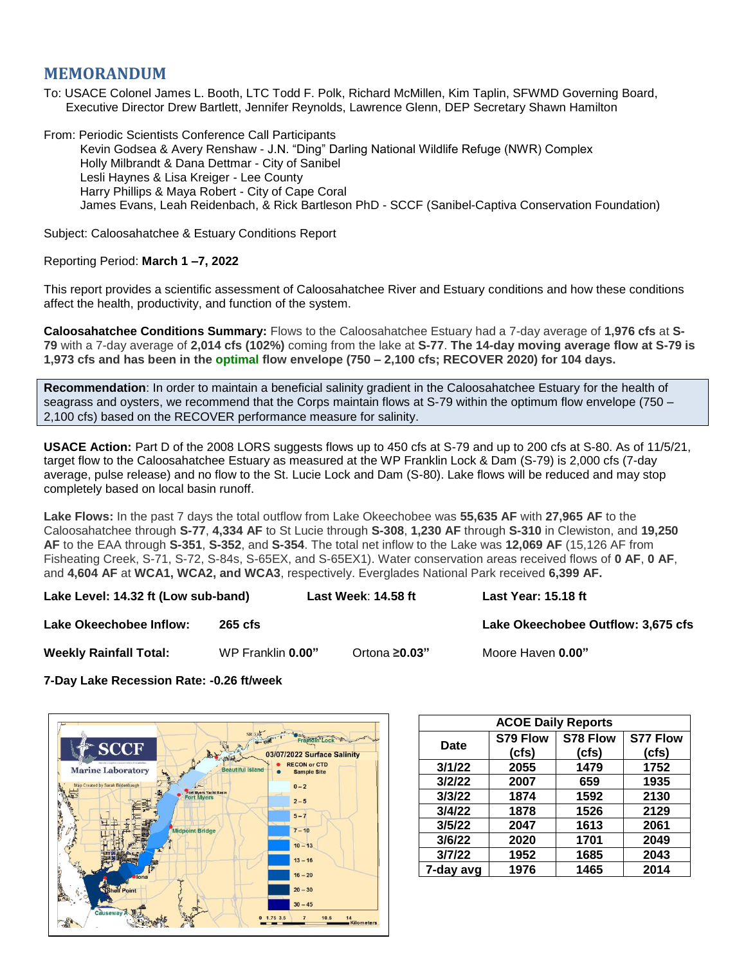## **MEMORANDUM**

To: USACE Colonel James L. Booth, LTC Todd F. Polk, Richard McMillen, Kim Taplin, SFWMD Governing Board, Executive Director Drew Bartlett, Jennifer Reynolds, Lawrence Glenn, DEP Secretary Shawn Hamilton

From: Periodic Scientists Conference Call Participants Kevin Godsea & Avery Renshaw - J.N. "Ding" Darling National Wildlife Refuge (NWR) Complex Holly Milbrandt & Dana Dettmar - City of Sanibel Lesli Haynes & Lisa Kreiger - Lee County Harry Phillips & Maya Robert - City of Cape Coral James Evans, Leah Reidenbach, & Rick Bartleson PhD - SCCF (Sanibel-Captiva Conservation Foundation)

Subject: Caloosahatchee & Estuary Conditions Report

## Reporting Period: **March 1 –7, 2022**

This report provides a scientific assessment of Caloosahatchee River and Estuary conditions and how these conditions affect the health, productivity, and function of the system.

**Caloosahatchee Conditions Summary:** Flows to the Caloosahatchee Estuary had a 7-day average of **1,976 cfs** at **S-79** with a 7-day average of **2,014 cfs (102%)** coming from the lake at **S-77**. **The 14-day moving average flow at S-79 is 1,973 cfs and has been in the optimal flow envelope (750 – 2,100 cfs; RECOVER 2020) for 104 days.**

**Recommendation**: In order to maintain a beneficial salinity gradient in the Caloosahatchee Estuary for the health of seagrass and oysters, we recommend that the Corps maintain flows at S-79 within the optimum flow envelope (750 – 2,100 cfs) based on the RECOVER performance measure for salinity.

**USACE Action:** Part D of the 2008 LORS suggests flows up to 450 cfs at S-79 and up to 200 cfs at S-80. As of 11/5/21, target flow to the Caloosahatchee Estuary as measured at the WP Franklin Lock & Dam (S-79) is 2,000 cfs (7-day average, pulse release) and no flow to the St. Lucie Lock and Dam (S-80). Lake flows will be reduced and may stop completely based on local basin runoff.

**Lake Flows:** In the past 7 days the total outflow from Lake Okeechobee was **55,635 AF** with **27,965 AF** to the Caloosahatchee through **S-77**, **4,334 AF** to St Lucie through **S-308**, **1,230 AF** through **S-310** in Clewiston, and **19,250 AF** to the EAA through **S-351**, **S-352**, and **S-354**. The total net inflow to the Lake was **12,069 AF** (15,126 AF from Fisheating Creek, S-71, S-72, S-84s, S-65EX, and S-65EX1). Water conservation areas received flows of **0 AF**, **0 AF**, and **4,604 AF** at **WCA1, WCA2, and WCA3**, respectively. Everglades National Park received **6,399 AF.**

**Lake Level: 14.32 ft (Low sub-band) Last Week**: **14.58 ft Last Year: 15.18 ft**

**Lake Okeechobee Inflow: 265 cfs Community Community Lake Okeechobee Outflow: 3,675 cfs** 

**Weekly Rainfall Total:** WP Franklin **0.00"** Ortona **≥0.03"** Moore Haven **0.00"**

**7-Day Lake Recession Rate: -0.26 ft/week**



| <b>ACOE Daily Reports</b> |          |          |                 |  |  |  |
|---------------------------|----------|----------|-----------------|--|--|--|
| Date                      | S79 Flow | S78 Flow | <b>S77 Flow</b> |  |  |  |
|                           | (cfs)    | (cfs)    | (cfs)           |  |  |  |
| 3/1/22                    | 2055     | 1479     | 1752            |  |  |  |
| 3/2/22                    | 2007     | 659      | 1935            |  |  |  |
| 3/3/22                    | 1874     | 1592     | 2130            |  |  |  |
| 3/4/22                    | 1878     | 1526     | 2129            |  |  |  |
| 3/5/22                    | 2047     | 1613     | 2061            |  |  |  |
| 3/6/22                    | 2020     | 1701     | 2049            |  |  |  |
| 3/7/22                    | 1952     | 1685     | 2043            |  |  |  |
| 7-day avg                 | 1976     | 1465     | 2014            |  |  |  |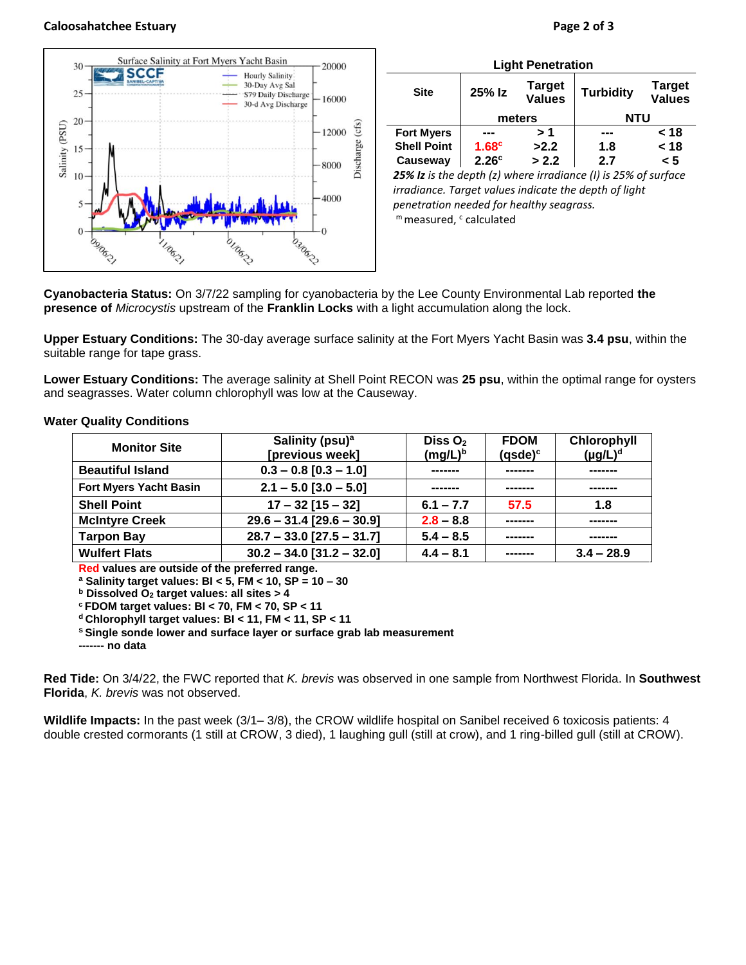## **Caloosahatchee Estuary Page 2 of 3**



| <b>Light Penetration</b>                                       |                   |                                |                  |                                |  |  |  |
|----------------------------------------------------------------|-------------------|--------------------------------|------------------|--------------------------------|--|--|--|
| <b>Site</b>                                                    | 25% Iz            | <b>Target</b><br><b>Values</b> | <b>Turbidity</b> | <b>Target</b><br><b>Values</b> |  |  |  |
|                                                                | meters            |                                | <b>NTU</b>       |                                |  |  |  |
| <b>Fort Myers</b>                                              |                   | > 1                            |                  | < 18                           |  |  |  |
| <b>Shell Point</b>                                             | 1.68 <sup>c</sup> | >2.2                           | 1.8              | < 18                           |  |  |  |
| Causeway                                                       | 2.26 <sup>c</sup> | > 2.2                          | 2.7              | < 5                            |  |  |  |
| 25% Iz is the depth (z) where irradiance (I) is 25% of surface |                   |                                |                  |                                |  |  |  |

*irradiance. Target values indicate the depth of light penetration needed for healthy seagrass.* m measured, c calculated

**Cyanobacteria Status:** On 3/7/22 sampling for cyanobacteria by the Lee County Environmental Lab reported **the presence of** *Microcystis* upstream of the **Franklin Locks** with a light accumulation along the lock.

**Upper Estuary Conditions:** The 30-day average surface salinity at the Fort Myers Yacht Basin was **3.4 psu**, within the suitable range for tape grass.

**Lower Estuary Conditions:** The average salinity at Shell Point RECON was **25 psu**, within the optimal range for oysters and seagrasses. Water column chlorophyll was low at the Causeway.

## **Water Quality Conditions**

| <b>Monitor Site</b>           | Salinity (psu) <sup>a</sup><br>[previous week] | Diss $O2$<br><b>FDOM</b><br>$(mg/L)^b$<br>$(q$ sde $)^c$ |          | Chlorophyll<br>$(\mu g/L)^d$ |
|-------------------------------|------------------------------------------------|----------------------------------------------------------|----------|------------------------------|
| <b>Beautiful Island</b>       | $0.3 - 0.8$ [0.3 - 1.0]                        |                                                          |          |                              |
| <b>Fort Myers Yacht Basin</b> | $2.1 - 5.0$ [3.0 - 5.0]                        |                                                          |          | -------                      |
| <b>Shell Point</b>            | $17 - 32$ [15 - 32]                            | $6.1 - 7.7$                                              | 57.5     | 1.8                          |
| <b>McIntyre Creek</b>         | $29.6 - 31.4$ [29.6 - 30.9]                    | $2.8 - 8.8$                                              |          |                              |
| <b>Tarpon Bay</b>             | $28.7 - 33.0$ [27.5 - 31.7]                    | $5.4 - 8.5$                                              | -------- |                              |
| <b>Wulfert Flats</b>          | $30.2 - 34.0$ [31.2 - 32.0]                    | $4.4 - 8.1$                                              | -------- | $3.4 - 28.9$                 |

**Red values are outside of the preferred range.**

**<sup>a</sup> Salinity target values: BI < 5, FM < 10, SP = 10 – 30**

**<sup>b</sup> Dissolved O<sup>2</sup> target values: all sites > 4**

**<sup>c</sup> FDOM target values: BI < 70, FM < 70, SP < 11**

**<sup>d</sup> Chlorophyll target values: BI < 11, FM < 11, SP < 11** 

**<sup>s</sup> Single sonde lower and surface layer or surface grab lab measurement**

**------- no data**

**Red Tide:** On 3/4/22, the FWC reported that *K. brevis* was observed in one sample from Northwest Florida. In **Southwest Florida**, *K. brevis* was not observed.

**Wildlife Impacts:** In the past week (3/1– 3/8), the CROW wildlife hospital on Sanibel received 6 toxicosis patients: 4 double crested cormorants (1 still at CROW, 3 died), 1 laughing gull (still at crow), and 1 ring-billed gull (still at CROW).